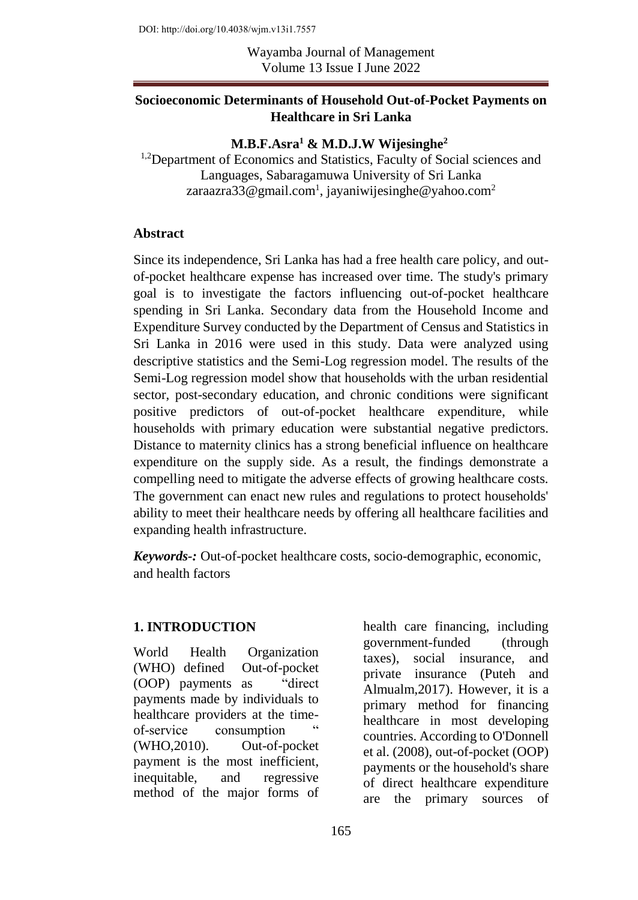DOI: http://doi.org/10.4038/wjm.v13i1.7557

Wayamba Journal of Management Volume 13 Issue I June 2022

### **Socioeconomic Determinants of Household Out-of-Pocket Payments on Healthcare in Sri Lanka**

## **M.B.F.Asra<sup>1</sup> & M.D.J.W Wijesinghe<sup>2</sup>**

<sup>1,2</sup>Department of Economics and Statistics, Faculty of Social sciences and Languages, Sabaragamuwa University of Sri Lanka zaraazra33@gmail.com<sup>1</sup>, jayaniwijesinghe@yahoo.com<sup>2</sup>

#### **Abstract**

Since its independence, Sri Lanka has had a free health care policy, and outof-pocket healthcare expense has increased over time. The study's primary goal is to investigate the factors influencing out-of-pocket healthcare spending in Sri Lanka. Secondary data from the Household Income and Expenditure Survey conducted by the Department of Census and Statistics in Sri Lanka in 2016 were used in this study. Data were analyzed using descriptive statistics and the Semi-Log regression model. The results of the Semi-Log regression model show that households with the urban residential sector, post-secondary education, and chronic conditions were significant positive predictors of out-of-pocket healthcare expenditure, while households with primary education were substantial negative predictors. Distance to maternity clinics has a strong beneficial influence on healthcare expenditure on the supply side. As a result, the findings demonstrate a compelling need to mitigate the adverse effects of growing healthcare costs. The government can enact new rules and regulations to protect households' ability to meet their healthcare needs by offering all healthcare facilities and expanding health infrastructure.

*Keywords-:* Out-of-pocket healthcare costs, socio-demographic, economic, and health factors

## **1. INTRODUCTION**

World Health Organization (WHO) defined Out-of-pocket (OOP) payments as "direct payments made by individuals to healthcare providers at the timeof-service consumption (WHO,2010). Out-of-pocket payment is the most inefficient, inequitable, and regressive method of the major forms of

health care financing, including government-funded (through taxes), social insurance, and private insurance (Puteh and Almualm,2017). However, it is a primary method for financing healthcare in most developing countries. According to O'Donnell et al. (2008), out-of-pocket (OOP) payments or the household's share of direct healthcare expenditure are the primary sources of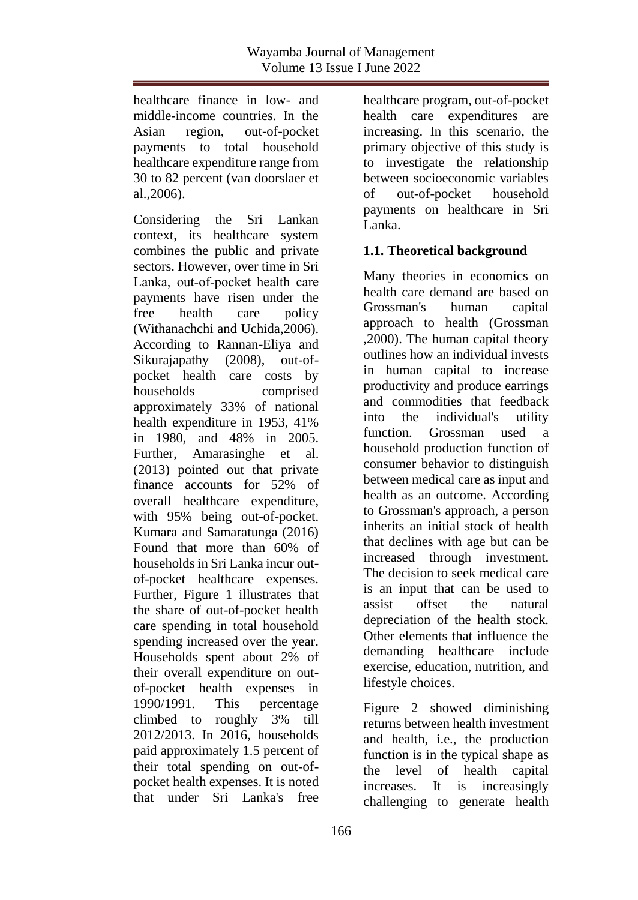healthcare finance in low- and middle-income countries. In the Asian region, out-of-pocket payments to total household healthcare expenditure range from 30 to 82 percent (van doorslaer et al.,2006).

Considering the Sri Lankan context, its healthcare system combines the public and private sectors. However, over time in Sri Lanka, out‐of‐pocket health care payments have risen under the free health care policy (Withanachchi and Uchida,2006). According to Rannan-Eliya and Sikurajapathy (2008), out-ofpocket health care costs by households comprised approximately 33% of national health expenditure in 1953, 41% in 1980, and 48% in 2005. Further, Amarasinghe et al. (2013) pointed out that private finance accounts for 52% of overall healthcare expenditure, with 95% being out-of-pocket. Kumara and Samaratunga (2016) Found that more than 60% of households in Sri Lanka incur outof-pocket healthcare expenses. Further, Figure 1 illustrates that the share of out-of-pocket health care spending in total household spending increased over the year. Households spent about 2% of their overall expenditure on outof-pocket health expenses in 1990/1991. This percentage climbed to roughly 3% till 2012/2013. In 2016, households paid approximately 1.5 percent of their total spending on out-ofpocket health expenses. It is noted that under Sri Lanka's free

healthcare program, out-of-pocket health care expenditures are increasing. In this scenario, the primary objective of this study is to investigate the relationship between socioeconomic variables of out-of-pocket household payments on healthcare in Sri Lanka.

## **1.1. Theoretical background**

Many theories in economics on health care demand are based on Grossman's human capital approach to health (Grossman ,2000). The human capital theory outlines how an individual invests in human capital to increase productivity and produce earrings and commodities that feedback into the individual's utility function. Grossman used a household production function of consumer behavior to distinguish between medical care as input and health as an outcome. According to Grossman's approach, a person inherits an initial stock of health that declines with age but can be increased through investment. The decision to seek medical care is an input that can be used to assist offset the natural depreciation of the health stock. Other elements that influence the demanding healthcare include exercise, education, nutrition, and lifestyle choices.

Figure 2 showed diminishing returns between health investment and health, i.e., the production function is in the typical shape as the level of health capital increases. It is increasingly challenging to generate health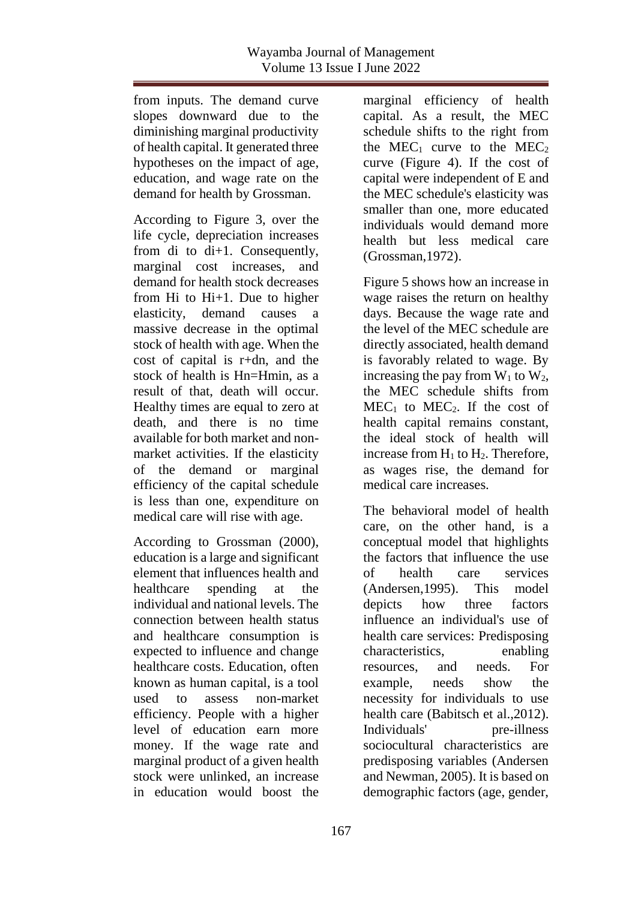from inputs. The demand curve slopes downward due to the diminishing marginal productivity of health capital. It generated three hypotheses on the impact of age, education, and wage rate on the demand for health by Grossman.

According to Figure 3, over the life cycle, depreciation increases from di to di+1. Consequently, marginal cost increases, and demand for health stock decreases from Hi to Hi+1. Due to higher elasticity, demand causes a massive decrease in the optimal stock of health with age. When the cost of capital is r+dn, and the stock of health is Hn=Hmin, as a result of that, death will occur. Healthy times are equal to zero at death, and there is no time available for both market and nonmarket activities. If the elasticity of the demand or marginal efficiency of the capital schedule is less than one, expenditure on medical care will rise with age.

According to Grossman (2000), education is a large and significant element that influences health and healthcare spending at the individual and national levels. The connection between health status and healthcare consumption is expected to influence and change healthcare costs. Education, often known as human capital, is a tool used to assess non-market efficiency. People with a higher level of education earn more money. If the wage rate and marginal product of a given health stock were unlinked, an increase in education would boost the

marginal efficiency of health capital. As a result, the MEC schedule shifts to the right from the MEC<sub>1</sub> curve to the MEC<sub>2</sub> curve (Figure 4). If the cost of capital were independent of E and the MEC schedule's elasticity was smaller than one, more educated individuals would demand more health but less medical care (Grossman,1972).

Figure 5 shows how an increase in wage raises the return on healthy days. Because the wage rate and the level of the MEC schedule are directly associated, health demand is favorably related to wage. By increasing the pay from  $W_1$  to  $W_2$ , the MEC schedule shifts from  $MEC<sub>1</sub>$  to  $MEC<sub>2</sub>$ . If the cost of health capital remains constant. the ideal stock of health will increase from  $H_1$  to  $H_2$ . Therefore, as wages rise, the demand for medical care increases.

The behavioral model of health care, on the other hand, is a conceptual model that highlights the factors that influence the use of health care services (Andersen,1995). This model depicts how three factors influence an individual's use of health care services: Predisposing characteristics, enabling resources, and needs. For example, needs show the necessity for individuals to use health care (Babitsch et al.,2012). Individuals' pre-illness sociocultural characteristics are predisposing variables (Andersen and Newman, 2005). It is based on demographic factors (age, gender,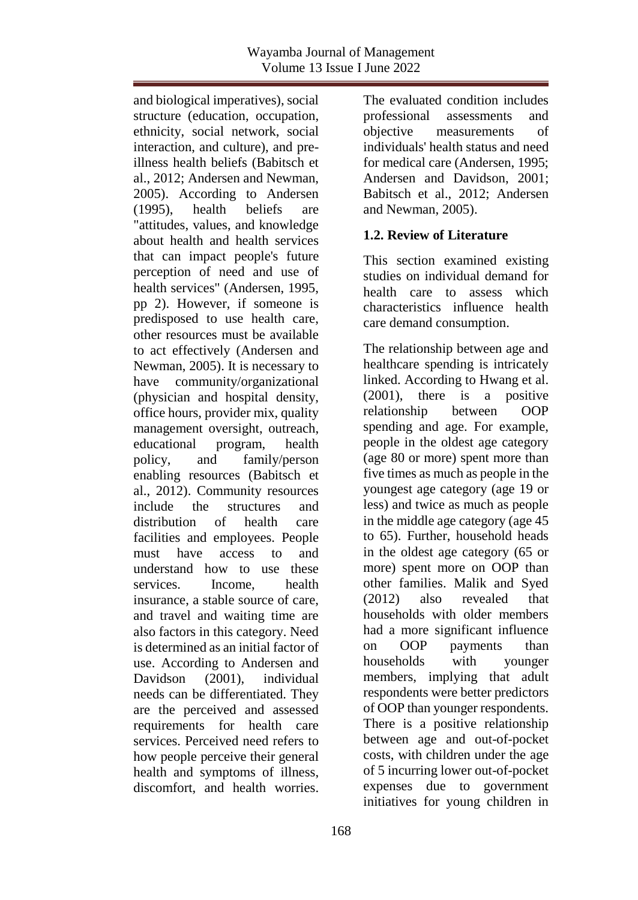and biological imperatives), social structure (education, occupation, ethnicity, social network, social interaction, and culture), and preillness health beliefs (Babitsch et al., 2012; Andersen and Newman, 2005). According to Andersen (1995), health beliefs are "attitudes, values, and knowledge about health and health services that can impact people's future perception of need and use of health services" (Andersen, 1995, pp 2). However, if someone is predisposed to use health care, other resources must be available to act effectively (Andersen and Newman, 2005). It is necessary to have community/organizational (physician and hospital density, office hours, provider mix, quality management oversight, outreach, educational program, health policy, and family/person enabling resources (Babitsch et al., 2012). Community resources include the structures and distribution of health care facilities and employees. People must have access to and understand how to use these services Income health insurance, a stable source of care, and travel and waiting time are also factors in this category. Need is determined as an initial factor of use. According to Andersen and Davidson (2001), individual needs can be differentiated. They are the perceived and assessed requirements for health care services. Perceived need refers to how people perceive their general health and symptoms of illness, discomfort, and health worries.

The evaluated condition includes professional assessments and objective measurements of individuals' health status and need for medical care (Andersen, 1995; Andersen and Davidson, 2001; Babitsch et al., 2012; Andersen and Newman, 2005).

## **1.2. Review of Literature**

This section examined existing studies on individual demand for health care to assess which characteristics influence health care demand consumption.

The relationship between age and healthcare spending is intricately linked. According to Hwang et al. (2001), there is a positive relationship between OOP spending and age. For example, people in the oldest age category (age 80 or more) spent more than five times as much as people in the youngest age category (age 19 or less) and twice as much as people in the middle age category (age 45 to 65). Further, household heads in the oldest age category (65 or more) spent more on OOP than other families. Malik and Syed (2012) also revealed that households with older members had a more significant influence on OOP payments than households with younger members, implying that adult respondents were better predictors of OOP than younger respondents. There is a positive relationship between age and out-of-pocket costs, with children under the age of 5 incurring lower out-of-pocket expenses due to government initiatives for young children in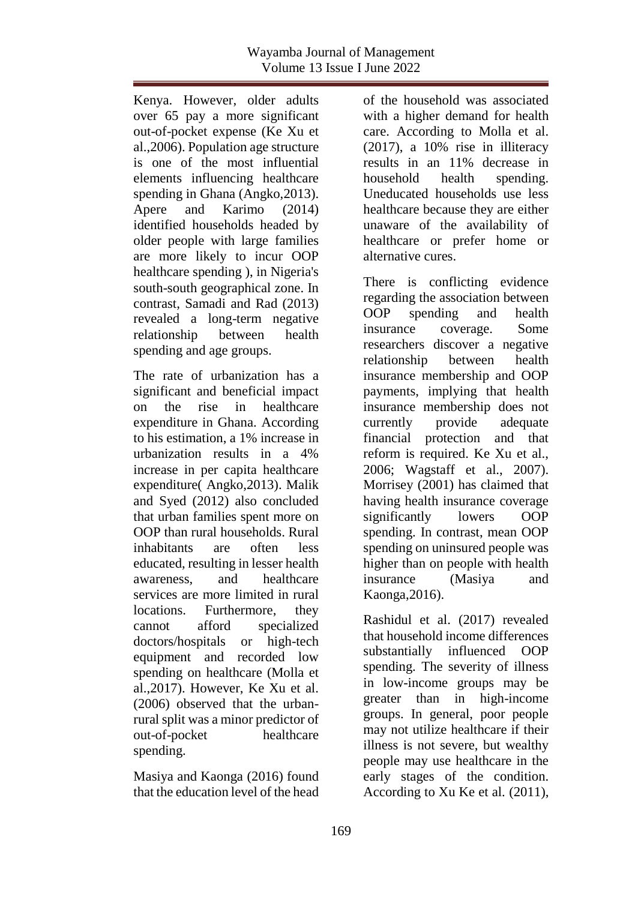Kenya. However, older adults over 65 pay a more significant out-of-pocket expense (Ke Xu et al.,2006). Population age structure is one of the most influential elements influencing healthcare spending in Ghana (Angko,2013). Apere and Karimo (2014) identified households headed by older people with large families are more likely to incur OOP healthcare spending ), in Nigeria's south-south geographical zone. In contrast, Samadi and Rad (2013) revealed a long-term negative relationship between health spending and age groups.

The rate of urbanization has a significant and beneficial impact on the rise in healthcare expenditure in Ghana. According to his estimation, a 1% increase in urbanization results in a 4% increase in per capita healthcare expenditure( Angko,2013). Malik and Syed (2012) also concluded that urban families spent more on OOP than rural households. Rural inhabitants are often less educated, resulting in lesser health awareness, and healthcare services are more limited in rural locations. Furthermore, they cannot afford specialized doctors/hospitals or high-tech equipment and recorded low spending on healthcare (Molla et al.,2017). However, Ke Xu et al. (2006) observed that the urbanrural split was a minor predictor of out-of-pocket healthcare spending.

Masiya and Kaonga (2016) found that the education level of the head

of the household was associated with a higher demand for health care. According to Molla et al. (2017), a 10% rise in illiteracy results in an 11% decrease in household health spending. Uneducated households use less healthcare because they are either unaware of the availability of healthcare or prefer home or alternative cures.

There is conflicting evidence regarding the association between OOP spending and health insurance coverage. Some researchers discover a negative relationship between health insurance membership and OOP payments, implying that health insurance membership does not currently provide adequate financial protection and that reform is required. Ke Xu et al., 2006; Wagstaff et al., 2007). Morrisey (2001) has claimed that having health insurance coverage significantly lowers OOP spending. In contrast, mean OOP spending on uninsured people was higher than on people with health insurance (Masiya and Kaonga,2016).

Rashidul et al. (2017) revealed that household income differences substantially influenced OOP spending. The severity of illness in low-income groups may be greater than in high-income groups. In general, poor people may not utilize healthcare if their illness is not severe, but wealthy people may use healthcare in the early stages of the condition. According to Xu Ke et al. (2011),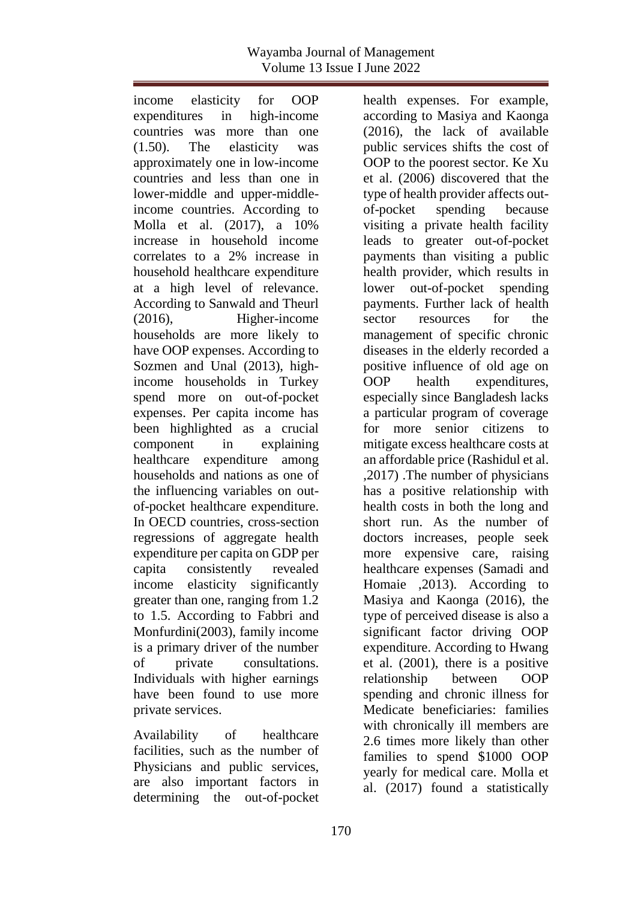income elasticity for OOP expenditures in high-income countries was more than one (1.50). The elasticity was approximately one in low-income countries and less than one in lower-middle and upper-middleincome countries. According to Molla et al. (2017), a 10% increase in household income correlates to a 2% increase in household healthcare expenditure at a high level of relevance. According to Sanwald and Theurl (2016), Higher-income households are more likely to have OOP expenses. According to Sozmen and Unal (2013), highincome households in Turkey spend more on out-of-pocket expenses. Per capita income has been highlighted as a crucial component in explaining healthcare expenditure among households and nations as one of the influencing variables on outof-pocket healthcare expenditure. In OECD countries, cross-section regressions of aggregate health expenditure per capita on GDP per capita consistently revealed income elasticity significantly greater than one, ranging from 1.2 to 1.5. According to Fabbri and Monfurdini(2003), family income is a primary driver of the number of private consultations. Individuals with higher earnings have been found to use more private services.

Availability of healthcare facilities, such as the number of Physicians and public services, are also important factors in determining the out-of-pocket health expenses. For example, according to Masiya and Kaonga (2016), the lack of available public services shifts the cost of OOP to the poorest sector. Ke Xu et al. (2006) discovered that the type of health provider affects outof-pocket spending because visiting a private health facility leads to greater out-of-pocket payments than visiting a public health provider, which results in lower out-of-pocket spending payments. Further lack of health sector resources for the management of specific chronic diseases in the elderly recorded a positive influence of old age on OOP health expenditures, especially since Bangladesh lacks a particular program of coverage for more senior citizens to mitigate excess healthcare costs at an affordable price (Rashidul et al. ,2017) .The number of physicians has a positive relationship with health costs in both the long and short run. As the number of doctors increases, people seek more expensive care, raising healthcare expenses (Samadi and Homaie ,2013). According to Masiya and Kaonga (2016), the type of perceived disease is also a significant factor driving OOP expenditure. According to Hwang et al. (2001), there is a positive relationship between OOP spending and chronic illness for Medicate beneficiaries: families with chronically ill members are 2.6 times more likely than other families to spend \$1000 OOP yearly for medical care. Molla et al. (2017) found a statistically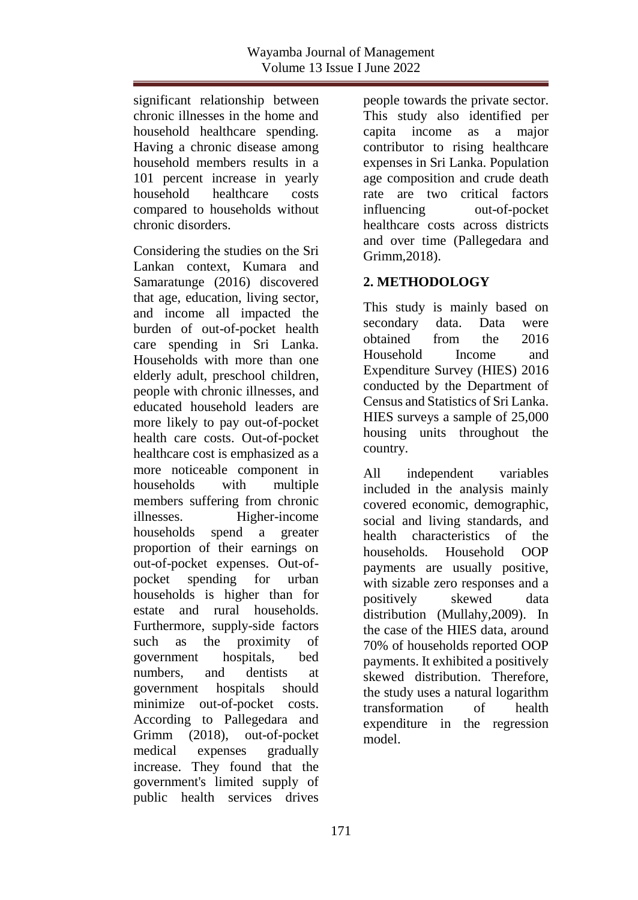significant relationship between chronic illnesses in the home and household healthcare spending. Having a chronic disease among household members results in a 101 percent increase in yearly household healthcare costs compared to households without chronic disorders.

Considering the studies on the Sri Lankan context, Kumara and Samaratunge (2016) discovered that age, education, living sector, and income all impacted the burden of out-of-pocket health care spending in Sri Lanka. Households with more than one elderly adult, preschool children, people with chronic illnesses, and educated household leaders are more likely to pay out-of-pocket health care costs. Out-of-pocket healthcare cost is emphasized as a more noticeable component in households with multiple members suffering from chronic illnesses. Higher-income households spend a greater proportion of their earnings on out-of-pocket expenses. Out-ofpocket spending for urban households is higher than for estate and rural households. Furthermore, supply-side factors such as the proximity of government hospitals, bed numbers, and dentists at government hospitals should minimize out-of-pocket costs. According to Pallegedara and Grimm (2018), out-of-pocket medical expenses gradually increase. They found that the government's limited supply of public health services drives

people towards the private sector. This study also identified per capita income as a major contributor to rising healthcare expenses in Sri Lanka. Population age composition and crude death rate are two critical factors influencing out-of-pocket healthcare costs across districts and over time (Pallegedara and Grimm,2018).

# **2. METHODOLOGY**

This study is mainly based on secondary data. Data were obtained from the 2016 Household Income and Expenditure Survey (HIES) 2016 conducted by the Department of Census and Statistics of Sri Lanka. HIES surveys a sample of 25,000 housing units throughout the country.

All independent variables included in the analysis mainly covered economic, demographic, social and living standards, and health characteristics of the households. Household OOP payments are usually positive, with sizable zero responses and a positively skewed data distribution (Mullahy,2009). In the case of the HIES data, around 70% of households reported OOP payments. It exhibited a positively skewed distribution. Therefore, the study uses a natural logarithm transformation of health expenditure in the regression model.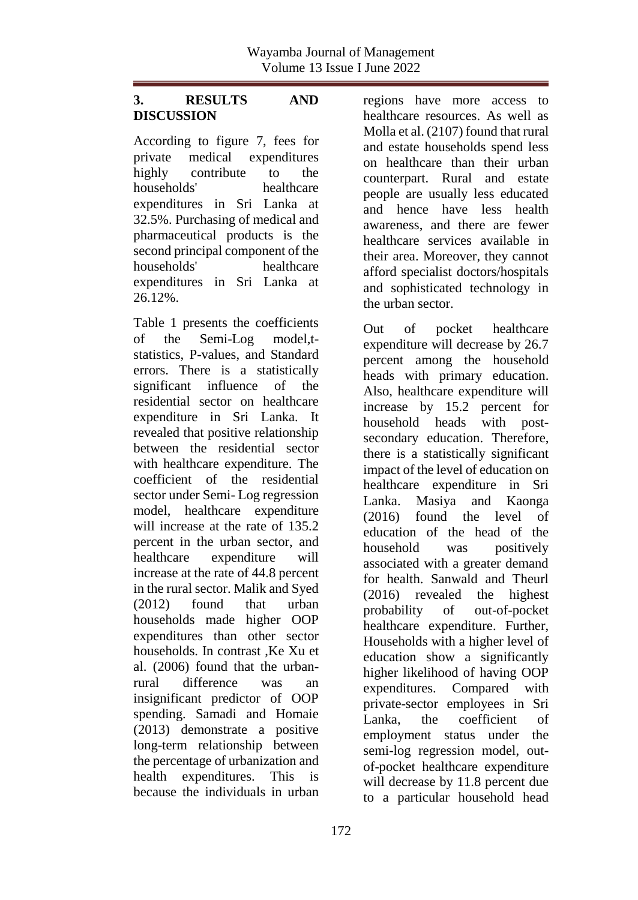### **3. RESULTS AND DISCUSSION**

According to figure 7, fees for private medical expenditures highly contribute to the households' healthcare expenditures in Sri Lanka at 32.5%. Purchasing of medical and pharmaceutical products is the second principal component of the households' healthcare expenditures in Sri Lanka at 26.12%.

Table 1 presents the coefficients of the Semi-Log model,tstatistics, P-values, and Standard errors. There is a statistically significant influence of the residential sector on healthcare expenditure in Sri Lanka. It revealed that positive relationship between the residential sector with healthcare expenditure. The coefficient of the residential sector under Semi- Log regression model, healthcare expenditure will increase at the rate of 135.2 percent in the urban sector, and healthcare expenditure will increase at the rate of 44.8 percent in the rural sector. Malik and Syed (2012) found that urban households made higher OOP expenditures than other sector households. In contrast, Ke Xu et al. (2006) found that the urbanrural difference was an insignificant predictor of OOP spending. Samadi and Homaie (2013) demonstrate a positive long-term relationship between the percentage of urbanization and health expenditures. This is because the individuals in urban

regions have more access to healthcare resources. As well as Molla et al. (2107) found that rural and estate households spend less on healthcare than their urban counterpart. Rural and estate people are usually less educated and hence have less health awareness, and there are fewer healthcare services available in their area. Moreover, they cannot afford specialist doctors/hospitals and sophisticated technology in the urban sector.

Out of pocket healthcare expenditure will decrease by 26.7 percent among the household heads with primary education. Also, healthcare expenditure will increase by 15.2 percent for household heads with postsecondary education. Therefore, there is a statistically significant impact of the level of education on healthcare expenditure in Sri Lanka. Masiya and Kaonga (2016) found the level of education of the head of the household was positively associated with a greater demand for health. Sanwald and Theurl (2016) revealed the highest probability of out-of-pocket healthcare expenditure. Further, Households with a higher level of education show a significantly higher likelihood of having OOP expenditures. Compared with private-sector employees in Sri Lanka, the coefficient of employment status under the semi-log regression model, outof-pocket healthcare expenditure will decrease by 11.8 percent due to a particular household head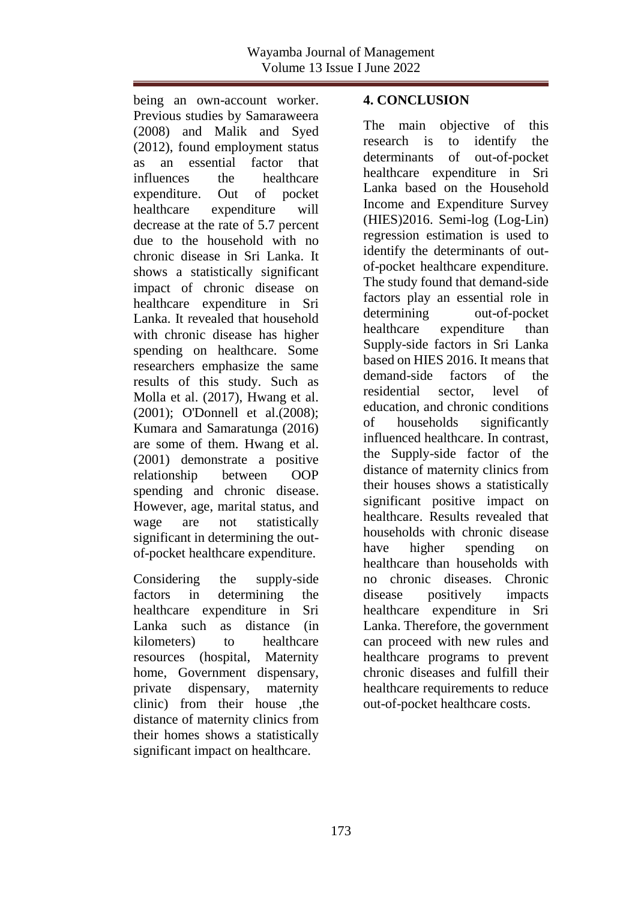being an own-account worker. Previous studies by Samaraweera (2008) and Malik and Syed (2012), found employment status as an essential factor that influences the healthcare expenditure. Out of pocket healthcare expenditure will decrease at the rate of 5.7 percent due to the household with no chronic disease in Sri Lanka. It shows a statistically significant impact of chronic disease on healthcare expenditure in Sri Lanka. It revealed that household with chronic disease has higher spending on healthcare. Some researchers emphasize the same results of this study. Such as Molla et al. (2017), Hwang et al. (2001); O'Donnell et al.(2008); Kumara and Samaratunga (2016) are some of them. Hwang et al. (2001) demonstrate a positive relationship between OOP spending and chronic disease. However, age, marital status, and wage are not statistically significant in determining the outof-pocket healthcare expenditure.

Considering the supply-side factors in determining the healthcare expenditure in Sri Lanka such as distance (in kilometers) to healthcare resources (hospital, Maternity home, Government dispensary, private dispensary, maternity clinic) from their house ,the distance of maternity clinics from their homes shows a statistically significant impact on healthcare.

### **4. CONCLUSION**

The main objective of this research is to identify the determinants of out-of-pocket healthcare expenditure in Sri Lanka based on the Household Income and Expenditure Survey (HIES)2016. Semi-log (Log-Lin) regression estimation is used to identify the determinants of outof-pocket healthcare expenditure. The study found that demand-side factors play an essential role in determining out-of-pocket healthcare expenditure than Supply-side factors in Sri Lanka based on HIES 2016. It means that demand-side factors of the residential sector, level of education, and chronic conditions of households significantly influenced healthcare. In contrast, the Supply-side factor of the distance of maternity clinics from their houses shows a statistically significant positive impact on healthcare. Results revealed that households with chronic disease have higher spending on healthcare than households with no chronic diseases. Chronic disease positively impacts healthcare expenditure in Sri Lanka. Therefore, the government can proceed with new rules and healthcare programs to prevent chronic diseases and fulfill their healthcare requirements to reduce out-of-pocket healthcare costs.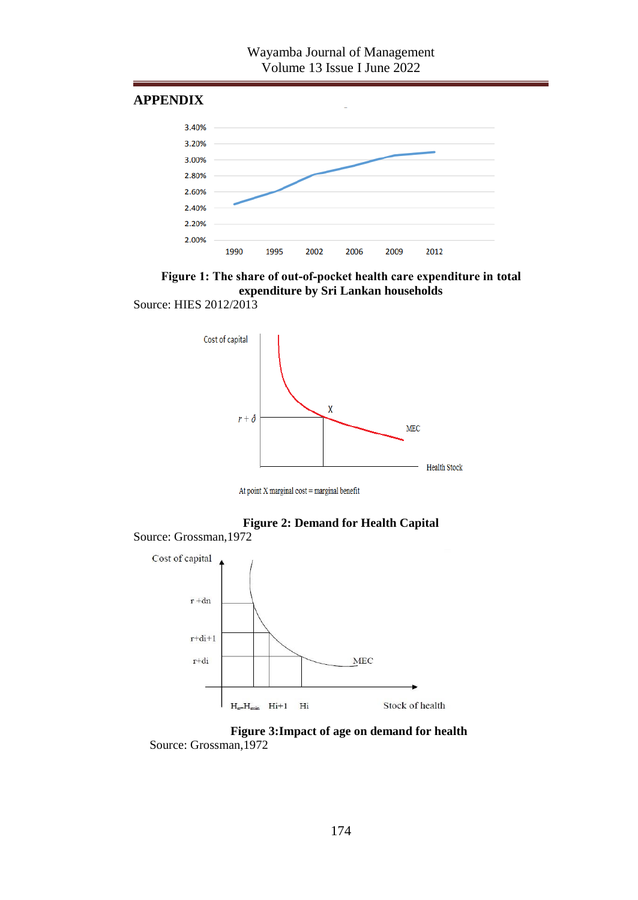#### **APPENDIX**





Source: HIES 2012/2013



At point  $X$  marginal  $cost = marginal$  benefit



Source: Grossman,1972



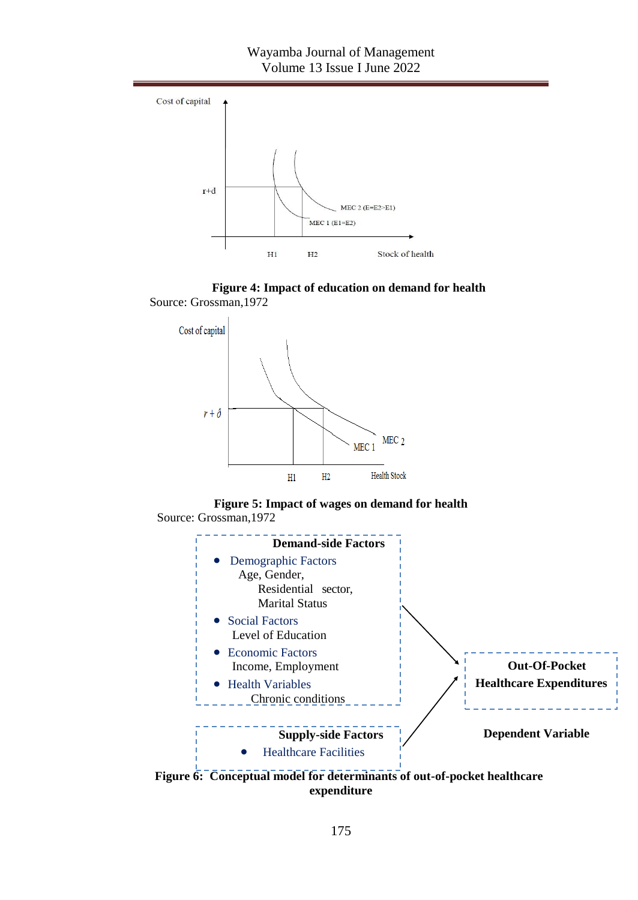









**Figure 6: Conceptual model for determinants of out-of-pocket healthcare expenditure**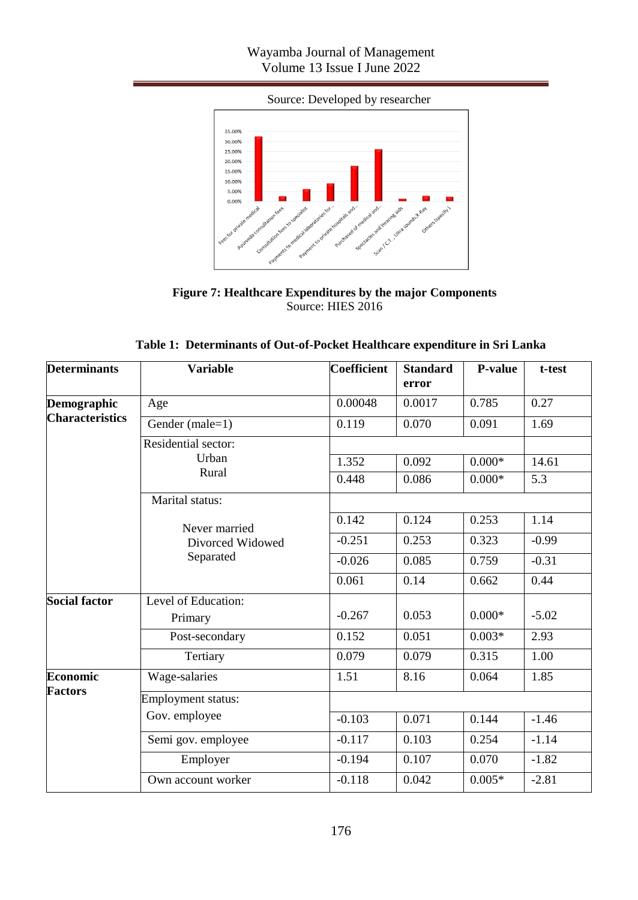## Wayamba Journal of Management Volume 13 Issue I June 2022

Source: Developed by researcher



**Figure 7: Healthcare Expenditures by the major Components** Source: HIES 2016

| Table 1:  Determinants of Out-of-Pocket Healthcare expenditure in Sri Lanka |
|-----------------------------------------------------------------------------|
|-----------------------------------------------------------------------------|

| <b>Determinants</b>    | <b>Variable</b>                                | <b>Coefficient</b> | <b>Standard</b><br>error | P-value  | t-test  |
|------------------------|------------------------------------------------|--------------------|--------------------------|----------|---------|
| Demographic            | Age                                            | 0.00048            | 0.0017                   | 0.785    | 0.27    |
| <b>Characteristics</b> | Gender (male=1)                                | 0.119              | 0.070                    | 0.091    | 1.69    |
|                        | Residential sector:                            |                    |                          |          |         |
|                        | Urban<br>Rural                                 | 1.352              | 0.092                    | $0.000*$ | 14.61   |
|                        |                                                | 0.448              | 0.086                    | $0.000*$ | 5.3     |
|                        | Marital status:                                |                    |                          |          |         |
|                        | Never married<br>Divorced Widowed<br>Separated | 0.142              | 0.124                    | 0.253    | 1.14    |
|                        |                                                | $-0.251$           | 0.253                    | 0.323    | $-0.99$ |
|                        |                                                | $-0.026$           | 0.085                    | 0.759    | $-0.31$ |
|                        |                                                | 0.061              | 0.14                     | 0.662    | 0.44    |
| <b>Social factor</b>   | Level of Education:                            |                    |                          |          |         |
|                        | Primary                                        | $-0.267$           | 0.053                    | $0.000*$ | $-5.02$ |
|                        | Post-secondary                                 | 0.152              | 0.051                    | $0.003*$ | 2.93    |
|                        | Tertiary                                       | 0.079              | 0.079                    | 0.315    | 1.00    |
| Economic               | Wage-salaries                                  | 1.51               | 8.16                     | 0.064    | 1.85    |
| <b>Factors</b>         | Employment status:                             |                    |                          |          |         |
|                        | Gov. employee                                  | $-0.103$           | 0.071                    | 0.144    | $-1.46$ |
|                        | Semi gov. employee                             | $-0.117$           | 0.103                    | 0.254    | $-1.14$ |
|                        | Employer                                       | $-0.194$           | 0.107                    | 0.070    | $-1.82$ |
|                        | Own account worker                             | $-0.118$           | 0.042                    | $0.005*$ | $-2.81$ |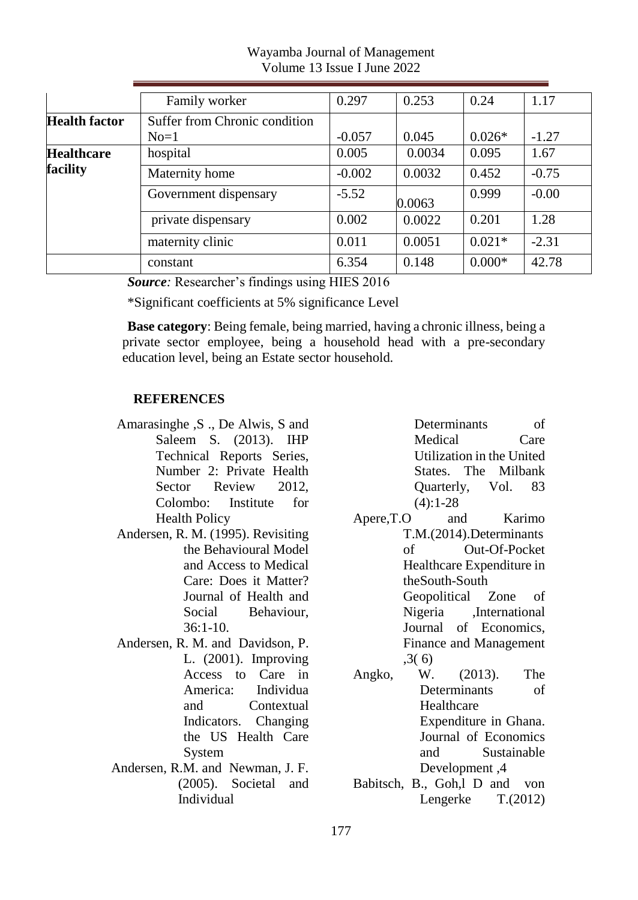|                      | Family worker                 | 0.297    | 0.253  | 0.24     | 1.17    |
|----------------------|-------------------------------|----------|--------|----------|---------|
| <b>Health factor</b> | Suffer from Chronic condition |          |        |          |         |
|                      | $No=1$                        | $-0.057$ | 0.045  | $0.026*$ | $-1.27$ |
| <b>Healthcare</b>    | hospital                      | 0.005    | 0.0034 | 0.095    | 1.67    |
| facility             | Maternity home                | $-0.002$ | 0.0032 | 0.452    | $-0.75$ |
|                      | Government dispensary         | $-5.52$  | 0.0063 | 0.999    | $-0.00$ |
|                      | private dispensary            | 0.002    | 0.0022 | 0.201    | 1.28    |
|                      | maternity clinic              | 0.011    | 0.0051 | $0.021*$ | $-2.31$ |
|                      | constant                      | 6.354    | 0.148  | $0.000*$ | 42.78   |

Wayamba Journal of Management Volume 13 Issue I June 2022

*Source:* Researcher's findings using HIES 2016

\*Significant coefficients at 5% significance Level

**Base category**: Being female, being married, having a chronic illness, being a private sector employee, being a household head with a pre-secondary education level, being an Estate sector household.

#### **REFERENCES**

- Amarasinghe ,S ., De Alwis, S and Saleem S. (2013). IHP Technical Reports Series, Number 2: Private Health Sector Review 2012. Colombo: Institute for Health Policy
- Andersen, R. M. (1995). Revisiting the Behavioural Model and Access to Medical Care: Does it Matter? Journal of Health and Social Behaviour,  $36:1-10.$
- Andersen, R. M. and Davidson, P. L. (2001). Improving Access to Care in America: Individua and Contextual Indicators. Changing the US Health Care System
- Andersen, R.M. and Newman, J. F. (2005). Societal and Individual

Determinants of Medical Care Utilization in the United States. The Milbank Quarterly, Vol. 83  $(4):1-28$ 

- Apere,T.O and Karimo T.M.(2014).Determinants of Out-Of-Pocket Healthcare Expenditure in theSouth-South Geopolitical Zone of Nigeria ,International Journal of Economics, Finance and Management ,3( 6)
- Angko, W. (2013). The Determinants of Healthcare Expenditure in Ghana. Journal of Economics and Sustainable Development ,4
- Babitsch, B., Goh,l D and von Lengerke T.(2012)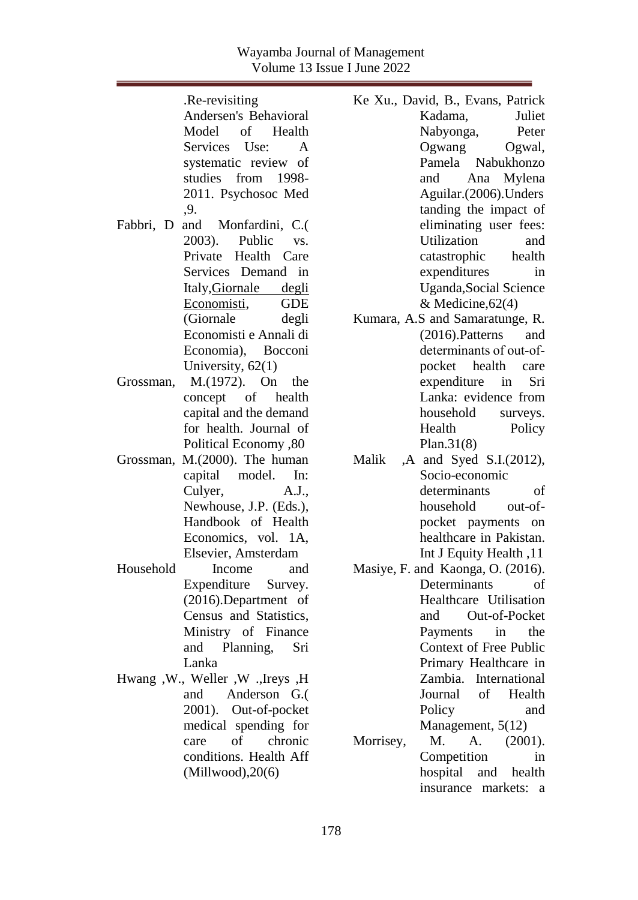#### Wayamba Journal of Management Volume 13 Issue I June 2022

|           | .Re-revisiting                     | Ke Xu., D    |
|-----------|------------------------------------|--------------|
|           | Andersen's Behavioral              |              |
|           | Model of Health                    |              |
|           | Services Use:<br>$\overline{A}$    |              |
|           | systematic review of               |              |
|           | studies from 1998-                 |              |
|           | 2011. Psychosoc Med                |              |
|           | ,9.                                |              |
| Fabbri, D | and Monfardini, C.(                |              |
|           | 2003). Public vs.                  |              |
|           | Private Health Care                |              |
|           | Services Demand in                 |              |
|           | Italy, Giornale degli              |              |
|           | Economisti, GDE                    |              |
|           | (Giornale degli                    | Kumara, A    |
|           | Economisti e Annali di             |              |
|           | Economia), Bocconi                 |              |
|           | University, $62(1)$                |              |
|           | Grossman, M.(1972). On the         |              |
|           | concept of health                  |              |
|           | capital and the demand             |              |
|           | for health. Journal of             |              |
|           | Political Economy ,80              |              |
| Grossman, | $M(2000)$ . The human              | Malik<br>, A |
|           | capital model.<br>In:              |              |
|           | Culyer,<br>A.J.,                   |              |
|           | Newhouse, J.P. (Eds.),             |              |
|           | Handbook of Health                 |              |
|           | Economics, vol. 1A,                |              |
|           | Elsevier, Amsterdam                |              |
| Household | Income<br>and                      |              |
|           |                                    | Masiye, F.   |
|           | Expenditure Survey.                |              |
|           | (2016).Department of               |              |
|           | Census and Statistics,             |              |
|           | Ministry of Finance                |              |
|           | and Planning, Sri                  |              |
|           | Lanka                              |              |
|           | Hwang , W., Weller , W., Ireys , H |              |
|           | and Anderson G.                    |              |
|           | 2001). Out-of-pocket               |              |
|           | medical spending for               |              |
|           | of<br>chronic<br>care              | Morrisey,    |
|           | conditions. Health Aff             |              |
|           | (Millwood), 20(6)                  |              |
|           |                                    |              |

avid, B., Evans, Patrick Kadama, Juliet Nabyonga, Peter Ogwang Ogwal, Pamela Nabukhonzo and Ana Mylena Aguilar.(2006).Unders tanding the impact of eliminating user fees: Utilization and catastrophic health expenditures in Uganda,Social Science & Medicine,62(4)

- $\Delta$ .S and Samaratunge, R. (2016).Patterns and determinants of out‐of‐ pocket health care expenditure in Sri Lanka: evidence from household surveys. Health Policy Plan.31(8)
- and Syed S.I.(2012), Socio-economic determinants of household out-ofpocket payments on healthcare in Pakistan. Int J Equity Health ,11
- and Kaonga, O. (2016). Determinants of Healthcare Utilisation and Out-of-Pocket Payments in the Context of Free Public Primary Healthcare in Zambia. International Journal of Health Policy and Management, 5(12)
- M. A. (2001). Competition in hospital and health insurance markets: a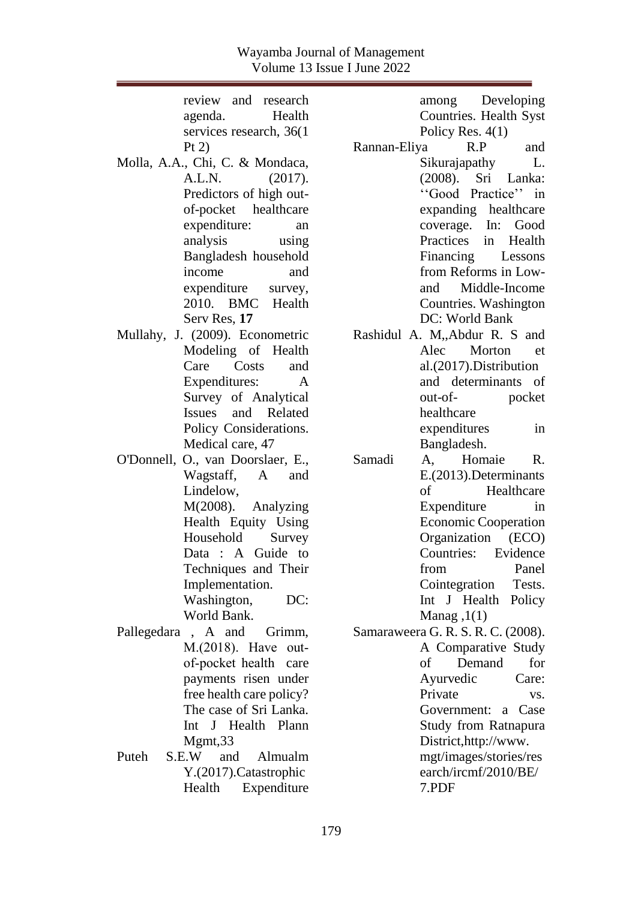| review and research               | among Developing                   |
|-----------------------------------|------------------------------------|
| Health<br>agenda.                 | Countries. Health Syst             |
| services research, 36(1)          | Policy Res. $4(1)$                 |
| Pt 2)                             | R.P<br>and<br>Rannan-Eliya         |
| Molla, A.A., Chi, C. & Mondaca,   | Sikurajapathy<br>$\mathbf{L}$ .    |
| A.L.N.<br>(2017).                 | (2008). Sri Lanka:                 |
| Predictors of high out-           | "Good Practice" in                 |
| of-pocket healthcare              | expanding healthcare               |
| expenditure:<br>an                | coverage. In:<br>Good              |
| analysis<br>using                 | Practices<br>Health<br>in          |
| Bangladesh household              | Financing Lessons                  |
| income<br>and                     | from Reforms in Low-               |
| expenditure<br>survey,            | and Middle-Income                  |
| 2010. BMC Health                  | Countries. Washington              |
| Serv Res, 17                      | DC: World Bank                     |
| Mullahy, J. (2009). Econometric   | Rashidul A. M,,Abdur R. S and      |
| Modeling of Health                | Alec<br>Morton<br>et               |
| Costs<br>Care<br>and              | al.(2017).Distribution             |
| Expenditures:<br>$\mathsf{A}$     | and determinants<br>of             |
| Survey of Analytical              | pocket<br>out-of-                  |
| Issues and Related                | healthcare                         |
| Policy Considerations.            | expenditures<br>in                 |
| Medical care, 47                  | Bangladesh.                        |
| O'Donnell, O., van Doorslaer, E., | R.<br>Samadi<br>A, Homaie          |
| Wagstaff, A and                   | E.(2013). Determinants             |
| Lindelow,                         | of<br>Healthcare                   |
| M(2008). Analyzing                | Expenditure<br>in                  |
| Health Equity Using               | <b>Economic Cooperation</b>        |
| Household<br>Survey               | Organization<br>(ECO)              |
| Data : A Guide to                 | Countries:<br>Evidence             |
| Techniques and Their              | from<br>Panel                      |
| Implementation.                   | Cointegration Tests.               |
| Washington,<br>DC:                | Int J Health Policy                |
| World Bank.                       | Manag, $1(1)$                      |
| Pallegedara, A and Grimm,         | Samaraweera G. R. S. R. C. (2008). |
| M.(2018). Have out-               | A Comparative Study                |
| of-pocket health care             | Demand<br>for<br>οf                |
| payments risen under              | Ayurvedic<br>Care:                 |
| free health care policy?          | Private<br>VS.                     |
| The case of Sri Lanka.            | Government:<br>Case<br>a           |
| J Health Plann<br>Int             | Study from Ratnapura               |
| Mgmt, 33                          | District, http://www.              |
| Puteh<br>S.E.W<br>and<br>Almualm  | mgt/images/stories/res             |
| Y.(2017).Catastrophic             | earch/ircmf/2010/BE/               |
| Health<br>Expenditure             | 7.PDF                              |
|                                   |                                    |